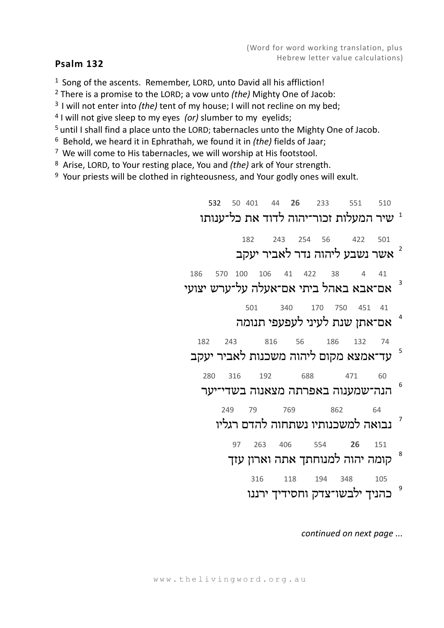## **Psalm 132**

<sup>1</sup> Song of the ascents. Remember, LORD, unto David all his affliction!

2 There is a promise to the LORD; a vow unto *(the)* Mighty One of Jacob:

<sup>3</sup> I will not enter into *(the)* tent of my house; I will not recline on my bed;<br><sup>4</sup> I will not give sleep to my eyes *(or)* slumber to my eyelids;

5 until I shall find a place unto the LORD; tabernacles unto the Mighty One of Jacob.

<sup>6</sup> Behold, we heard it in Ephrathah, we found it in *(the)* fields of Jaar;

 $7$  We will come to His tabernacles, we will worship at His footstool.

<sup>8</sup> Arise, LORD, to Your resting place, You and *(the)* ark of Your strength.

 $9$  Your priests will be clothed in righteousness, and Your godly ones will exult.

 532 50 401 44 **26** 233 551 510 שיר המעלות זכור־יהוה לדוד את כל־ענותו  $^{\text{1}}$ 

 182 243 254 56 422 501 2אשר נשבע ליהוה נדר לאביר יעקב

> 186 570 100 106 41 422 38 4 41 3אם־אבא באהל ביתי אם־אעלה על־ערש יצועי

501 340 170 750 451 41

 4אם־אתן שנת לעיני לעפעפי תנומה

 182 243 816 56 186 132 74 5עד־אמצא מקום ליהוה משכנות לאביר יעקב

280 316 192 688 471 60

 6הנה־שמענוה באפרתה מצאנוה בשדי־יער

 249 79 769 862 64 7נבואה למשכנותיו נשתחוה להדם רגליו

 97 263 406 554 **26** 151 8קומה יהוה למנוחתך אתה וארון עזך

 316 118 194 348 105 9כהניך ילבשו־צדק וחסידיך ירננו

*continued on next page ...*